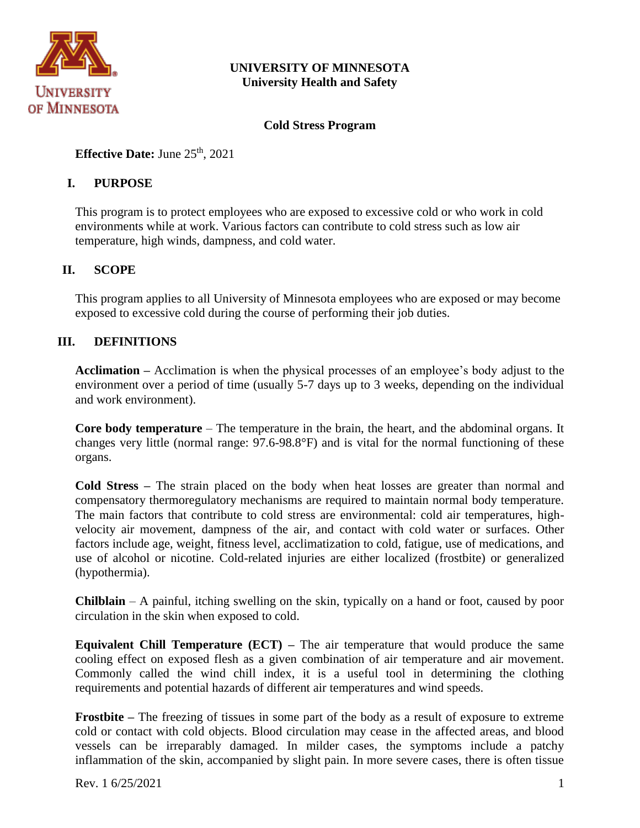

## **UNIVERSITY OF MINNESOTA University Health and Safety**

### **Cold Stress Program**

**Effective Date:** June 25<sup>th</sup>, 2021

### **I. PURPOSE**

This program is to protect employees who are exposed to excessive cold or who work in cold environments while at work. Various factors can contribute to cold stress such as low air temperature, high winds, dampness, and cold water.

### **II. SCOPE**

This program applies to all University of Minnesota employees who are exposed or may become exposed to excessive cold during the course of performing their job duties.

### **III. DEFINITIONS**

**Acclimation –** Acclimation is when the physical processes of an employee's body adjust to the environment over a period of time (usually 5-7 days up to 3 weeks, depending on the individual and work environment).

**Core body temperature** – The temperature in the brain, the heart, and the abdominal organs. It changes very little (normal range: 97.6-98.8°F) and is vital for the normal functioning of these organs.

**Cold Stress –** The strain placed on the body when heat losses are greater than normal and compensatory thermoregulatory mechanisms are required to maintain normal body temperature. The main factors that contribute to cold stress are environmental: cold air temperatures, highvelocity air movement, dampness of the air, and contact with cold water or surfaces. Other factors include age, weight, fitness level, acclimatization to cold, fatigue, use of medications, and use of alcohol or nicotine. Cold-related injuries are either localized (frostbite) or generalized (hypothermia).

**Chilblain** – A painful, itching swelling on the skin, typically on a hand or foot, caused by poor circulation in the skin when exposed to cold.

**Equivalent Chill Temperature (ECT) – The air temperature that would produce the same** cooling effect on exposed flesh as a given combination of air temperature and air movement. Commonly called the wind chill index, it is a useful tool in determining the clothing requirements and potential hazards of different air temperatures and wind speeds.

**Frostbite** – The freezing of tissues in some part of the body as a result of exposure to extreme cold or contact with cold objects. Blood circulation may cease in the affected areas, and blood vessels can be irreparably damaged. In milder cases, the symptoms include a patchy inflammation of the skin, accompanied by slight pain. In more severe cases, there is often tissue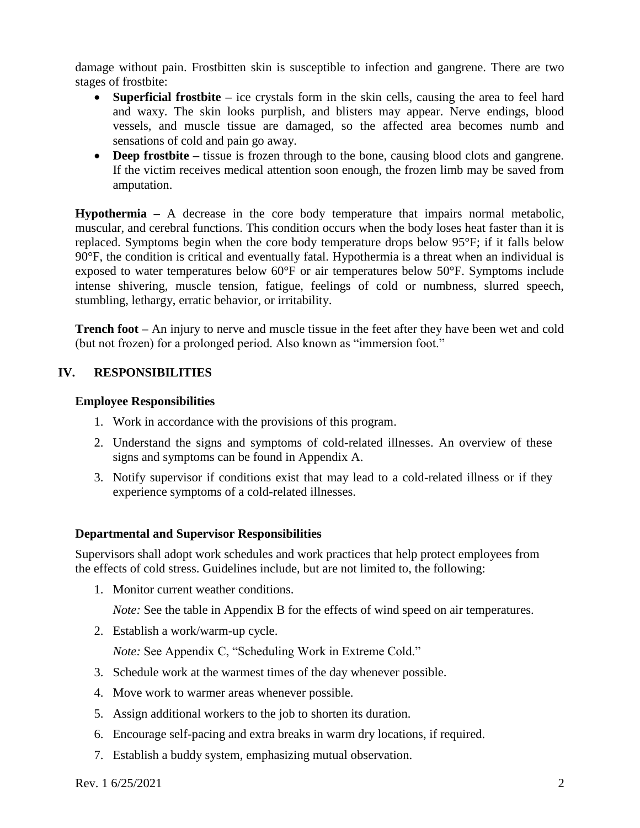damage without pain. Frostbitten skin is susceptible to infection and gangrene. There are two stages of frostbite:

- **Superficial frostbite** ice crystals form in the skin cells, causing the area to feel hard and waxy. The skin looks purplish, and blisters may appear. Nerve endings, blood vessels, and muscle tissue are damaged, so the affected area becomes numb and sensations of cold and pain go away.
- **Deep frostbite** tissue is frozen through to the bone, causing blood clots and gangrene. If the victim receives medical attention soon enough, the frozen limb may be saved from amputation.

**Hypothermia –** A decrease in the core body temperature that impairs normal metabolic, muscular, and cerebral functions. This condition occurs when the body loses heat faster than it is replaced. Symptoms begin when the core body temperature drops below 95°F; if it falls below 90°F, the condition is critical and eventually fatal. Hypothermia is a threat when an individual is exposed to water temperatures below 60°F or air temperatures below 50°F. Symptoms include intense shivering, muscle tension, fatigue, feelings of cold or numbness, slurred speech, stumbling, lethargy, erratic behavior, or irritability.

**Trench foot –** An injury to nerve and muscle tissue in the feet after they have been wet and cold (but not frozen) for a prolonged period. Also known as "immersion foot."

## **IV. RESPONSIBILITIES**

### **Employee Responsibilities**

- 1. Work in accordance with the provisions of this program.
- 2. Understand the signs and symptoms of cold-related illnesses. An overview of these signs and symptoms can be found in Appendix A.
- 3. Notify supervisor if conditions exist that may lead to a cold-related illness or if they experience symptoms of a cold-related illnesses.

#### **Departmental and Supervisor Responsibilities**

Supervisors shall adopt work schedules and work practices that help protect employees from the effects of cold stress. Guidelines include, but are not limited to, the following:

1. Monitor current weather conditions.

*Note:* See the table in Appendix B for the effects of wind speed on air temperatures.

2. Establish a work/warm-up cycle.

*Note:* See Appendix C, "Scheduling Work in Extreme Cold."

- 3. Schedule work at the warmest times of the day whenever possible.
- 4. Move work to warmer areas whenever possible.
- 5. Assign additional workers to the job to shorten its duration.
- 6. Encourage self-pacing and extra breaks in warm dry locations, if required.
- 7. Establish a buddy system, emphasizing mutual observation.

Rev. 1 6/25/2021 2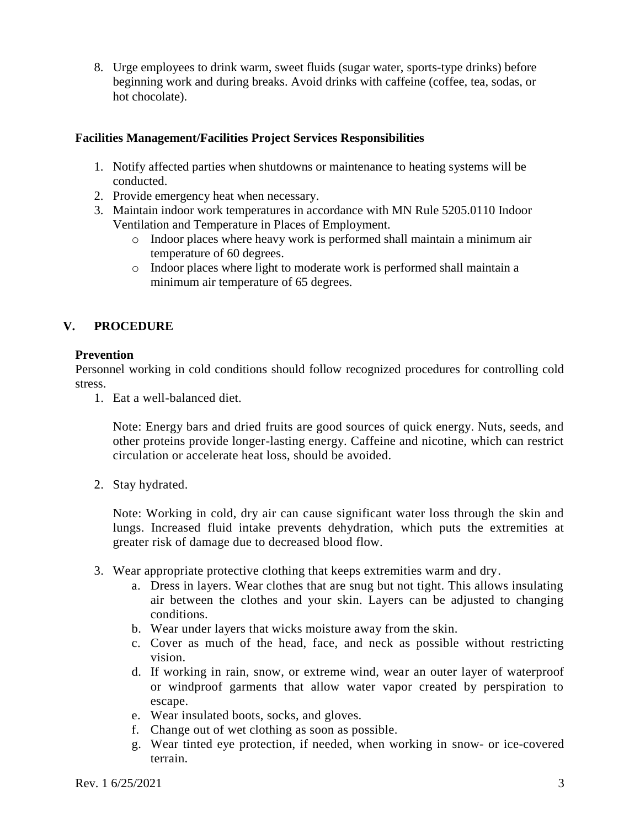8. Urge employees to drink warm, sweet fluids (sugar water, sports-type drinks) before beginning work and during breaks. Avoid drinks with caffeine (coffee, tea, sodas, or hot chocolate).

### **Facilities Management/Facilities Project Services Responsibilities**

- 1. Notify affected parties when shutdowns or maintenance to heating systems will be conducted.
- 2. Provide emergency heat when necessary.
- 3. Maintain indoor work temperatures in accordance with MN Rule 5205.0110 Indoor Ventilation and Temperature in Places of Employment.
	- o Indoor places where heavy work is performed shall maintain a minimum air temperature of 60 degrees.
	- o Indoor places where light to moderate work is performed shall maintain a minimum air temperature of 65 degrees.

## **V. PROCEDURE**

#### **Prevention**

Personnel working in cold conditions should follow recognized procedures for controlling cold stress.

1. Eat a well-balanced diet.

Note: Energy bars and dried fruits are good sources of quick energy. Nuts, seeds, and other proteins provide longer-lasting energy. Caffeine and nicotine, which can restrict circulation or accelerate heat loss, should be avoided.

2. Stay hydrated.

Note: Working in cold, dry air can cause significant water loss through the skin and lungs. Increased fluid intake prevents dehydration, which puts the extremities at greater risk of damage due to decreased blood flow.

- 3. Wear appropriate protective clothing that keeps extremities warm and dry.
	- a. Dress in layers. Wear clothes that are snug but not tight. This allows insulating air between the clothes and your skin. Layers can be adjusted to changing conditions.
	- b. Wear under layers that wicks moisture away from the skin.
	- c. Cover as much of the head, face, and neck as possible without restricting vision.
	- d. If working in rain, snow, or extreme wind, wear an outer layer of waterproof or windproof garments that allow water vapor created by perspiration to escape.
	- e. Wear insulated boots, socks, and gloves.
	- f. Change out of wet clothing as soon as possible.
	- g. Wear tinted eye protection, if needed, when working in snow- or ice-covered terrain.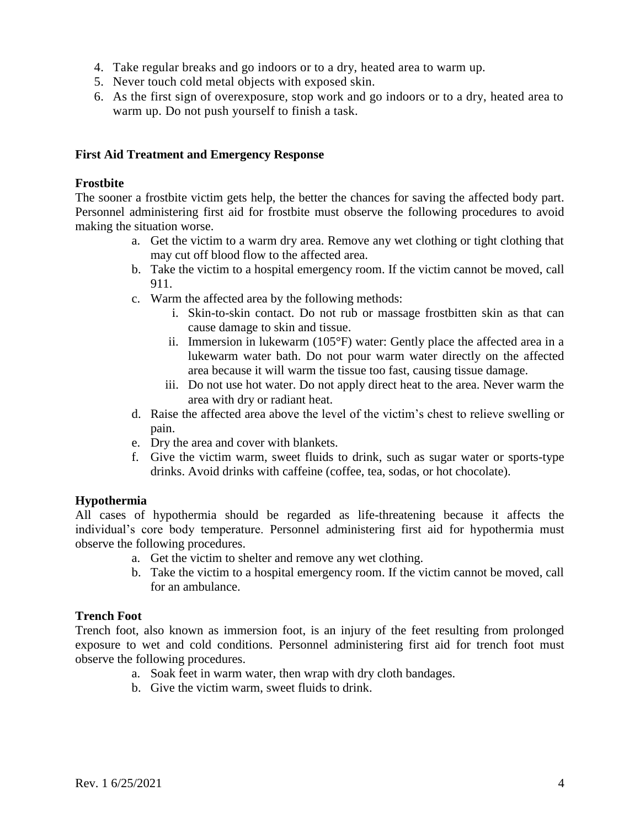- 4. Take regular breaks and go indoors or to a dry, heated area to warm up.
- 5. Never touch cold metal objects with exposed skin.
- 6. As the first sign of overexposure, stop work and go indoors or to a dry, heated area to warm up. Do not push yourself to finish a task.

### **First Aid Treatment and Emergency Response**

#### **Frostbite**

The sooner a frostbite victim gets help, the better the chances for saving the affected body part. Personnel administering first aid for frostbite must observe the following procedures to avoid making the situation worse.

- a. Get the victim to a warm dry area. Remove any wet clothing or tight clothing that may cut off blood flow to the affected area.
- b. Take the victim to a hospital emergency room. If the victim cannot be moved, call 911.
- c. Warm the affected area by the following methods:
	- i. Skin-to-skin contact. Do not rub or massage frostbitten skin as that can cause damage to skin and tissue.
	- ii. Immersion in lukewarm (105°F) water: Gently place the affected area in a lukewarm water bath. Do not pour warm water directly on the affected area because it will warm the tissue too fast, causing tissue damage.
	- iii. Do not use hot water. Do not apply direct heat to the area. Never warm the area with dry or radiant heat.
- d. Raise the affected area above the level of the victim's chest to relieve swelling or pain.
- e. Dry the area and cover with blankets.
- f. Give the victim warm, sweet fluids to drink, such as sugar water or sports-type drinks. Avoid drinks with caffeine (coffee, tea, sodas, or hot chocolate).

#### **Hypothermia**

All cases of hypothermia should be regarded as life-threatening because it affects the individual's core body temperature. Personnel administering first aid for hypothermia must observe the following procedures.

- a. Get the victim to shelter and remove any wet clothing.
- b. Take the victim to a hospital emergency room. If the victim cannot be moved, call for an ambulance.

#### **Trench Foot**

Trench foot, also known as immersion foot, is an injury of the feet resulting from prolonged exposure to wet and cold conditions. Personnel administering first aid for trench foot must observe the following procedures.

- a. Soak feet in warm water, then wrap with dry cloth bandages.
- b. Give the victim warm, sweet fluids to drink.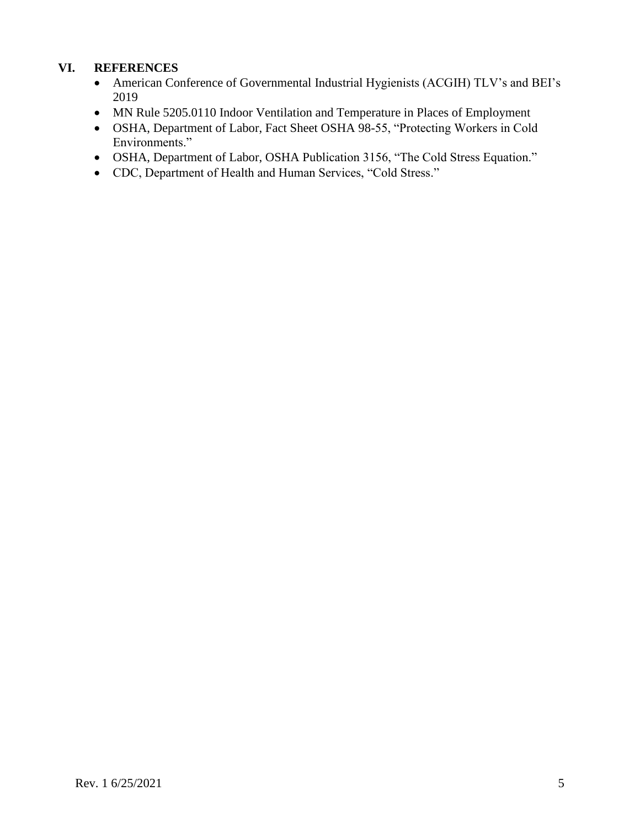## **VI. REFERENCES**

- American Conference of Governmental Industrial Hygienists (ACGIH) TLV's and BEI's 2019
- MN Rule 5205.0110 Indoor Ventilation and Temperature in Places of Employment
- OSHA, Department of Labor, Fact Sheet OSHA 98-55, "Protecting Workers in Cold Environments."
- OSHA, Department of Labor, OSHA Publication 3156, "The Cold Stress Equation."
- CDC, Department of Health and Human Services, "Cold Stress."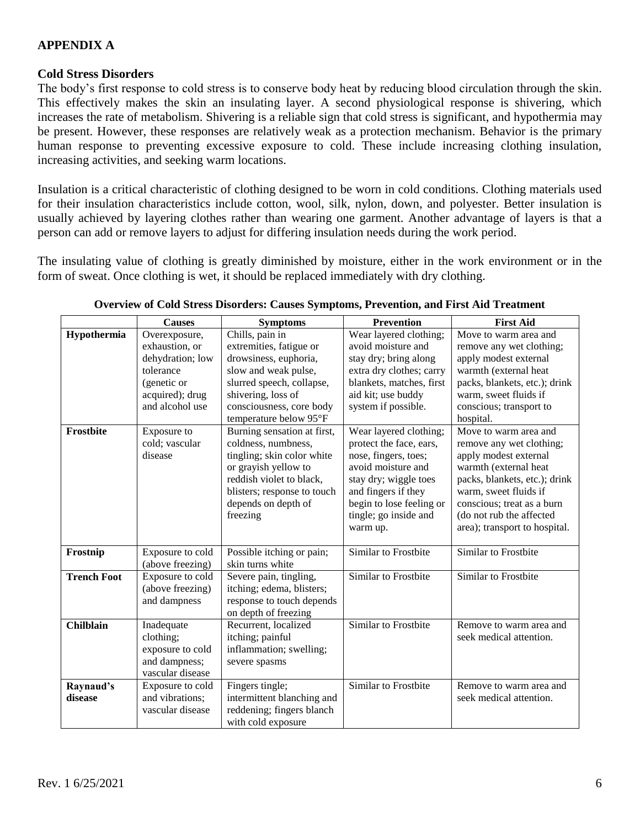## **APPENDIX A**

### **Cold Stress Disorders**

The body's first response to cold stress is to conserve body heat by reducing blood circulation through the skin. This effectively makes the skin an insulating layer. A second physiological response is shivering, which increases the rate of metabolism. Shivering is a reliable sign that cold stress is significant, and hypothermia may be present. However, these responses are relatively weak as a protection mechanism. Behavior is the primary human response to preventing excessive exposure to cold. These include increasing clothing insulation, increasing activities, and seeking warm locations.

Insulation is a critical characteristic of clothing designed to be worn in cold conditions. Clothing materials used for their insulation characteristics include cotton, wool, silk, nylon, down, and polyester. Better insulation is usually achieved by layering clothes rather than wearing one garment. Another advantage of layers is that a person can add or remove layers to adjust for differing insulation needs during the work period.

The insulating value of clothing is greatly diminished by moisture, either in the work environment or in the form of sweat. Once clothing is wet, it should be replaced immediately with dry clothing.

|                    | <b>Causes</b>    | <b>Symptoms</b>             | Prevention               | <b>First Aid</b>              |
|--------------------|------------------|-----------------------------|--------------------------|-------------------------------|
| Hypothermia        | Overexposure,    | Chills, pain in             | Wear layered clothing;   | Move to warm area and         |
|                    | exhaustion, or   | extremities, fatigue or     | avoid moisture and       | remove any wet clothing;      |
|                    | dehydration; low | drowsiness, euphoria,       | stay dry; bring along    | apply modest external         |
|                    | tolerance        | slow and weak pulse,        | extra dry clothes; carry | warmth (external heat         |
|                    | (genetic or      | slurred speech, collapse,   | blankets, matches, first | packs, blankets, etc.); drink |
|                    | acquired); drug  | shivering, loss of          | aid kit; use buddy       | warm, sweet fluids if         |
|                    | and alcohol use  | consciousness, core body    | system if possible.      | conscious; transport to       |
|                    |                  | temperature below 95°F      |                          | hospital.                     |
| Frostbite          | Exposure to      | Burning sensation at first, | Wear layered clothing;   | Move to warm area and         |
|                    | cold; vascular   | coldness, numbness,         | protect the face, ears,  | remove any wet clothing;      |
|                    | disease          | tingling; skin color white  | nose, fingers, toes;     | apply modest external         |
|                    |                  | or grayish yellow to        | avoid moisture and       | warmth (external heat         |
|                    |                  | reddish violet to black,    | stay dry; wiggle toes    | packs, blankets, etc.); drink |
|                    |                  | blisters; response to touch | and fingers if they      | warm, sweet fluids if         |
|                    |                  | depends on depth of         | begin to lose feeling or | conscious; treat as a burn    |
|                    |                  | freezing                    | tingle; go inside and    | (do not rub the affected      |
|                    |                  |                             | warm up.                 | area); transport to hospital. |
|                    |                  |                             |                          |                               |
| Frostnip           | Exposure to cold | Possible itching or pain;   | Similar to Frostbite     | Similar to Frostbite          |
|                    | (above freezing) | skin turns white            |                          |                               |
| <b>Trench Foot</b> | Exposure to cold | Severe pain, tingling,      | Similar to Frostbite     | Similar to Frostbite          |
|                    | (above freezing) | itching; edema, blisters;   |                          |                               |
|                    | and dampness     | response to touch depends   |                          |                               |
|                    |                  | on depth of freezing        |                          |                               |
| <b>Chilblain</b>   | Inadequate       | Recurrent, localized        | Similar to Frostbite     | Remove to warm area and       |
|                    | clothing;        | itching; painful            |                          | seek medical attention.       |
|                    | exposure to cold | inflammation; swelling;     |                          |                               |
|                    | and dampness;    | severe spasms               |                          |                               |
|                    | vascular disease |                             |                          |                               |
| Raynaud's          | Exposure to cold | Fingers tingle;             | Similar to Frostbite     | Remove to warm area and       |
| disease            | and vibrations;  | intermittent blanching and  |                          | seek medical attention.       |
|                    | vascular disease | reddening; fingers blanch   |                          |                               |
|                    |                  | with cold exposure          |                          |                               |

#### **Overview of Cold Stress Disorders: Causes Symptoms, Prevention, and First Aid Treatment**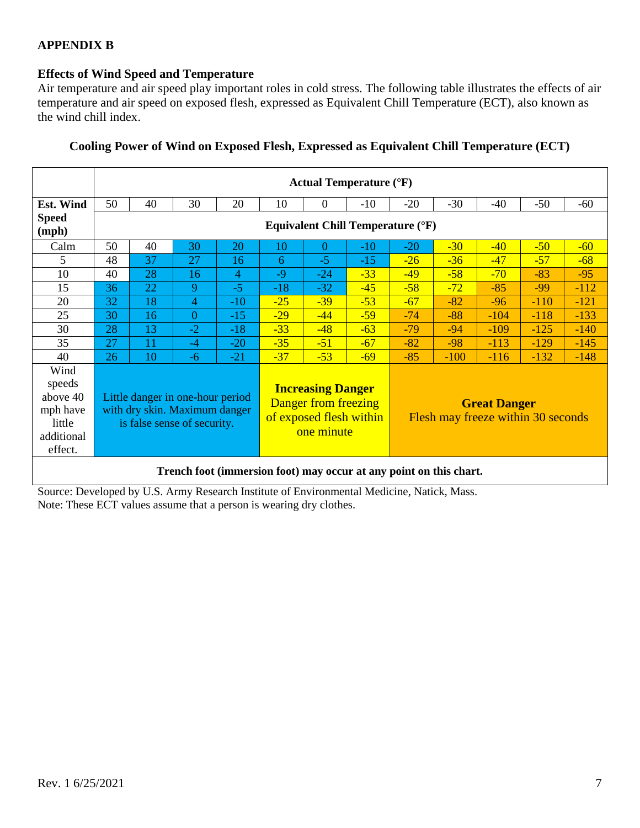## **APPENDIX B**

## **Effects of Wind Speed and Temperature**

Air temperature and air speed play important roles in cold stress. The following table illustrates the effects of air temperature and air speed on exposed flesh, expressed as Equivalent Chill Temperature (ECT), also known as the wind chill index.

|                                                                           | Actual Temperature $({}^{\circ}F)$                                                               |    |      |       |                                                                                           |          |       |                                                           |        |        |        |        |
|---------------------------------------------------------------------------|--------------------------------------------------------------------------------------------------|----|------|-------|-------------------------------------------------------------------------------------------|----------|-------|-----------------------------------------------------------|--------|--------|--------|--------|
| <b>Est. Wind</b>                                                          | 50                                                                                               | 40 | 30   | 20    | 10                                                                                        | $\theta$ | $-10$ | $-20$                                                     | $-30$  | -40    | $-50$  | $-60$  |
| <b>Speed</b><br>(mph)                                                     | <b>Equivalent Chill Temperature (°F)</b>                                                         |    |      |       |                                                                                           |          |       |                                                           |        |        |        |        |
| Calm                                                                      | 50                                                                                               | 40 | 30   | 20    | 10                                                                                        | 0        | $-10$ | $-20$                                                     | $-30$  | $-40$  | $-50$  | $-60$  |
| 5                                                                         | 48                                                                                               | 37 | 27   | 16    | 6                                                                                         | $-5$     | $-15$ | $-26$                                                     | $-36$  | $-47$  | $-57$  | $-68$  |
| 10                                                                        | 40                                                                                               | 28 | 16   | 4     | $-9$                                                                                      | $-24$    | $-33$ | $-49$                                                     | $-58$  | $-70$  | $-83$  | $-95$  |
| 15                                                                        | 36                                                                                               | 22 | 9    | $-5$  | $-18$                                                                                     | $-32$    | $-45$ | $-58$                                                     | $-72$  | $-85$  | $-99$  | $-112$ |
| 20                                                                        | 32                                                                                               | 18 | 4    | $-10$ | $-25$                                                                                     | $-39$    | $-53$ | $-67$                                                     | $-82$  | $-96$  | $-110$ | $-121$ |
| 25                                                                        | 30                                                                                               | 16 | 0    | $-15$ | $-29$                                                                                     | $-44$    | $-59$ | $-74$                                                     | $-88$  | $-104$ | $-118$ | $-133$ |
| 30                                                                        | 28                                                                                               | 13 | $-2$ | $-18$ | $-33$                                                                                     | $-48$    | $-63$ | $-79$                                                     | $-94$  | $-109$ | $-125$ | $-140$ |
| 35                                                                        | 27                                                                                               | 11 | $-4$ | $-20$ | $-35$                                                                                     | $-51$    | $-67$ | $-82$                                                     | $-98$  | $-113$ | $-129$ | $-145$ |
| 40                                                                        | 26                                                                                               | 10 | $-6$ | $-21$ | $-37$                                                                                     | $-53$    | $-69$ | $-85$                                                     | $-100$ | $-116$ | $-132$ | $-148$ |
| Wind<br>speeds<br>above 40<br>mph have<br>little<br>additional<br>effect. | Little danger in one-hour period<br>with dry skin. Maximum danger<br>is false sense of security. |    |      |       | <b>Increasing Danger</b><br>Danger from freezing<br>of exposed flesh within<br>one minute |          |       | <b>Great Danger</b><br>Flesh may freeze within 30 seconds |        |        |        |        |
| Trench foot (immersion foot) may occur at any point on this chart.        |                                                                                                  |    |      |       |                                                                                           |          |       |                                                           |        |        |        |        |

# **Cooling Power of Wind on Exposed Flesh, Expressed as Equivalent Chill Temperature (ECT)**

Source: Developed by U.S. Army Research Institute of Environmental Medicine, Natick, Mass. Note: These ECT values assume that a person is wearing dry clothes.